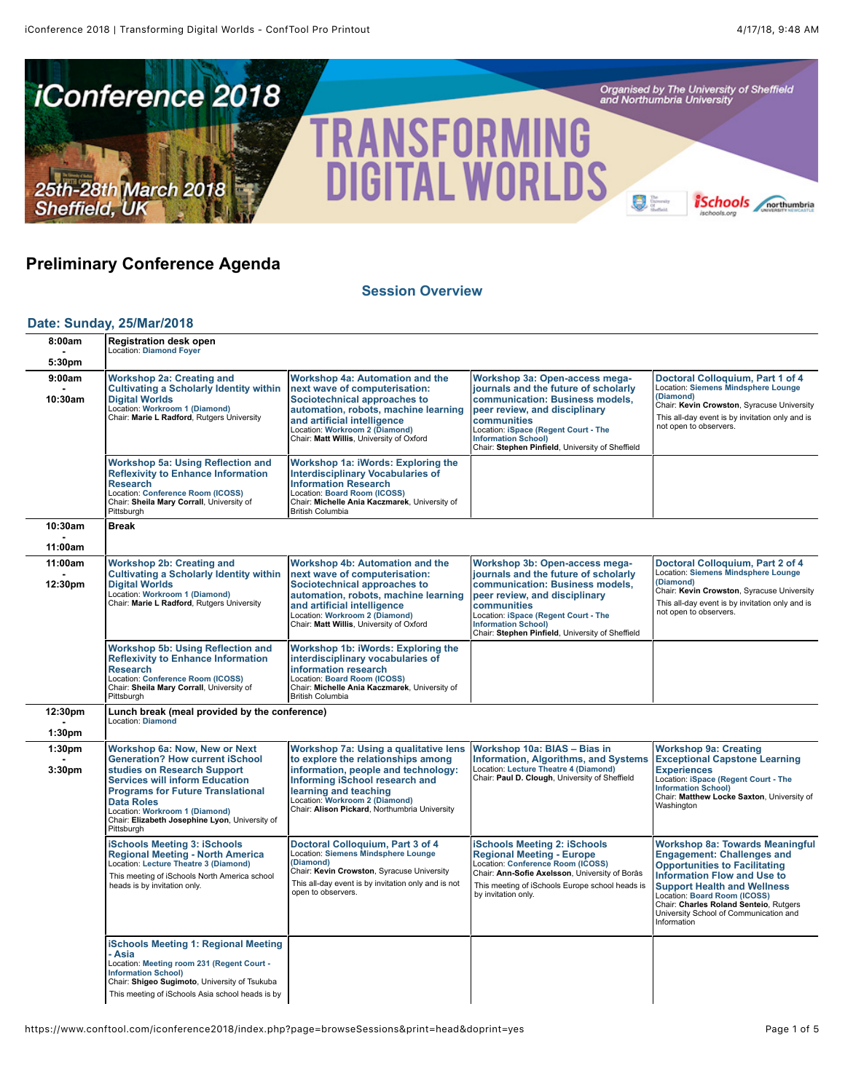

# **Preliminary Conference Agenda**

**[Session Overview](https://www.conftool.com/iconference2018/index.php?page=browseSessions&print=head&doprint=yes)**

#### **[Date: Sunday, 25/Mar/2018](https://www.conftool.com/iconference2018/index.php?page=browseSessions&print=head&doprint=yes&form_date=2018-03-25)**

| 8:00am<br>5:30pm              | <b>Registration desk open</b><br><b>Location: Diamond Foyer</b>                                                                                                                                                                                                                   |                                                                                                                                                                                                                                                       |                                                                                                                                                                                                                                                                                     |                                                                                                                                                                                                                                                                                                                                    |
|-------------------------------|-----------------------------------------------------------------------------------------------------------------------------------------------------------------------------------------------------------------------------------------------------------------------------------|-------------------------------------------------------------------------------------------------------------------------------------------------------------------------------------------------------------------------------------------------------|-------------------------------------------------------------------------------------------------------------------------------------------------------------------------------------------------------------------------------------------------------------------------------------|------------------------------------------------------------------------------------------------------------------------------------------------------------------------------------------------------------------------------------------------------------------------------------------------------------------------------------|
| 9:00am<br>10:30am             | <b>Workshop 2a: Creating and</b><br><b>Cultivating a Scholarly Identity within</b><br><b>Digital Worlds</b><br>Location: Workroom 1 (Diamond)<br>Chair: Marie L Radford, Rutgers University                                                                                       | Workshop 4a: Automation and the<br>next wave of computerisation:<br>Sociotechnical approaches to<br>automation, robots, machine learning<br>and artificial intelligence<br>Location: Workroom 2 (Diamond)<br>Chair: Matt Willis, University of Oxford | Workshop 3a: Open-access mega-<br>journals and the future of scholarly<br>communication: Business models,<br>peer review, and disciplinary<br>communities<br>Location: iSpace (Regent Court - The<br><b>Information School)</b><br>Chair: Stephen Pinfield, University of Sheffield | Doctoral Colloquium, Part 1 of 4<br>Location: Siemens Mindsphere Lounge<br>(Diamond)<br>Chair: Kevin Crowston, Syracuse University<br>This all-day event is by invitation only and is<br>not open to observers.                                                                                                                    |
|                               | Workshop 5a: Using Reflection and<br><b>Reflexivity to Enhance Information</b><br><b>Research</b><br>Location: Conference Room (ICOSS)<br>Chair: Sheila Mary Corrall, University of<br>Pittsburgh                                                                                 | Workshop 1a: iWords: Exploring the<br><b>Interdisciplinary Vocabularies of</b><br><b>Information Research</b><br>Location: Board Room (ICOSS)<br>Chair: Michelle Ania Kaczmarek, University of<br><b>British Columbia</b>                             |                                                                                                                                                                                                                                                                                     |                                                                                                                                                                                                                                                                                                                                    |
| 10:30am                       | <b>Break</b>                                                                                                                                                                                                                                                                      |                                                                                                                                                                                                                                                       |                                                                                                                                                                                                                                                                                     |                                                                                                                                                                                                                                                                                                                                    |
| 11:00am                       |                                                                                                                                                                                                                                                                                   |                                                                                                                                                                                                                                                       |                                                                                                                                                                                                                                                                                     |                                                                                                                                                                                                                                                                                                                                    |
| 11:00am<br>12:30pm            | <b>Workshop 2b: Creating and</b><br><b>Cultivating a Scholarly Identity within</b><br><b>Digital Worlds</b><br>Location: Workroom 1 (Diamond)<br>Chair: Marie L Radford, Rutgers University                                                                                       | Workshop 4b: Automation and the<br>next wave of computerisation:<br>Sociotechnical approaches to<br>automation, robots, machine learning<br>and artificial intelligence<br>Location: Workroom 2 (Diamond)<br>Chair: Matt Willis, University of Oxford | Workshop 3b: Open-access mega-<br>journals and the future of scholarly<br>communication: Business models,<br>peer review, and disciplinary<br>communities<br>Location: iSpace (Regent Court - The<br><b>Information School)</b><br>Chair: Stephen Pinfield, University of Sheffield | Doctoral Colloquium, Part 2 of 4<br><b>Location: Siemens Mindsphere Lounge</b><br>(Diamond)<br>Chair: Kevin Crowston, Syracuse University<br>This all-day event is by invitation only and is<br>not open to observers.                                                                                                             |
|                               | <b>Workshop 5b: Using Reflection and</b><br><b>Reflexivity to Enhance Information</b><br><b>Research</b><br>Location: Conference Room (ICOSS)<br>Chair: Sheila Mary Corrall, University of<br>Pittsburgh                                                                          | Workshop 1b: iWords: Exploring the<br>interdisciplinary vocabularies of<br>information research<br>Location: Board Room (ICOSS)<br>Chair: Michelle Ania Kaczmarek, University of<br><b>British Columbia</b>                                           |                                                                                                                                                                                                                                                                                     |                                                                                                                                                                                                                                                                                                                                    |
| 12:30pm<br>1:30 <sub>pm</sub> | Lunch break (meal provided by the conference)<br>Location: Diamond                                                                                                                                                                                                                |                                                                                                                                                                                                                                                       |                                                                                                                                                                                                                                                                                     |                                                                                                                                                                                                                                                                                                                                    |
| 1:30 <sub>pm</sub>            | <b>Workshop 6a: Now, New or Next</b>                                                                                                                                                                                                                                              | Workshop 7a: Using a qualitative lens                                                                                                                                                                                                                 | Workshop 10a: BIAS - Bias in                                                                                                                                                                                                                                                        | <b>Workshop 9a: Creating</b>                                                                                                                                                                                                                                                                                                       |
| 3:30pm                        | <b>Generation? How current iSchool</b><br>studies on Research Support<br><b>Services will inform Education</b><br><b>Programs for Future Translational</b><br><b>Data Roles</b><br>Location: Workroom 1 (Diamond)<br>Chair: Elizabeth Josephine Lyon, University of<br>Pittsburgh | to explore the relationships among<br>information, people and technology:<br>Informing iSchool research and<br>learning and teaching<br>Location: Workroom 2 (Diamond)<br>Chair: Alison Pickard, Northumbria University                               | Information, Algorithms, and Systems<br>Location: Lecture Theatre 4 (Diamond)<br>Chair: Paul D. Clough, University of Sheffield                                                                                                                                                     | <b>Exceptional Capstone Learning</b><br><b>Experiences</b><br>Location: iSpace (Regent Court - The<br><b>Information School)</b><br>Chair: Matthew Locke Saxton, University of<br>Washington                                                                                                                                       |
|                               | <b>iSchools Meeting 3: iSchools</b><br><b>Regional Meeting - North America</b><br>Location: Lecture Theatre 3 (Diamond)<br>This meeting of iSchools North America school<br>heads is by invitation only.                                                                          | Doctoral Colloquium, Part 3 of 4<br>Location: Siemens Mindsphere Lounge<br>(Diamond)<br>Chair: Kevin Crowston, Syracuse University<br>This all-day event is by invitation only and is not<br>open to observers.                                       | <b>iSchools Meeting 2: iSchools</b><br><b>Regional Meeting - Europe</b><br>Location: Conference Room (ICOSS)<br>Chair: Ann-Sofie Axelsson, University of Borås<br>This meeting of iSchools Europe school heads is<br>by invitation only.                                            | <b>Workshop 8a: Towards Meaningful</b><br><b>Engagement: Challenges and</b><br><b>Opportunities to Facilitating</b><br><b>Information Flow and Use to</b><br><b>Support Health and Wellness</b><br>Location: Board Room (ICOSS)<br>Chair: Charles Roland Senteio, Rutgers<br>University School of Communication and<br>Information |
|                               | <b>iSchools Meeting 1: Regional Meeting</b><br>· Asia<br>Location: Meeting room 231 (Regent Court -<br><b>Information School)</b><br>Chair: Shigeo Sugimoto, University of Tsukuba<br>This meeting of iSchools Asia school heads is by                                            |                                                                                                                                                                                                                                                       |                                                                                                                                                                                                                                                                                     |                                                                                                                                                                                                                                                                                                                                    |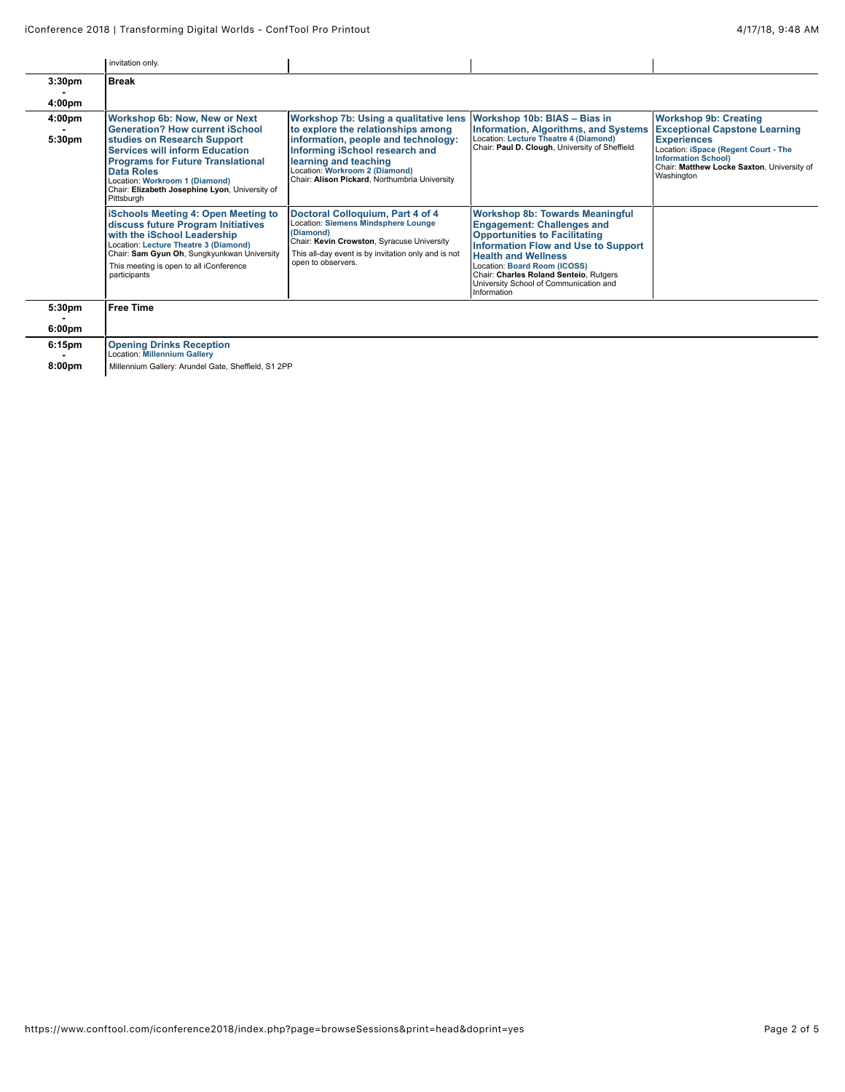|                    | invitation only                   |  |  |
|--------------------|-----------------------------------|--|--|
| 3:30 <sub>pm</sub> | $\overline{\phantom{a}}$<br>Break |  |  |

| 4:00pm           |                                                                                                                                                                                                                                                                                                                    |                                                                                                                                                                                                                                                                                               |                                                                                                                                                                                                                                                                                                                                    |                                                                                                                                                                                                                              |
|------------------|--------------------------------------------------------------------------------------------------------------------------------------------------------------------------------------------------------------------------------------------------------------------------------------------------------------------|-----------------------------------------------------------------------------------------------------------------------------------------------------------------------------------------------------------------------------------------------------------------------------------------------|------------------------------------------------------------------------------------------------------------------------------------------------------------------------------------------------------------------------------------------------------------------------------------------------------------------------------------|------------------------------------------------------------------------------------------------------------------------------------------------------------------------------------------------------------------------------|
| 4:00pm<br>5:30pm | <b>Workshop 6b: Now, New or Next</b><br><b>Generation? How current iSchool</b><br>studies on Research Support<br><b>Services will inform Education</b><br><b>Programs for Future Translational</b><br>Data Roles<br>Location: Workroom 1 (Diamond)<br>Chair: Elizabeth Josephine Lyon, University of<br>Pittsburgh | Workshop 7b: Using a qualitative lens Workshop 10b: BIAS - Bias in<br>to explore the relationships among<br>information, people and technology:<br>Informing iSchool research and<br>learning and teaching<br>Location: Workroom 2 (Diamond)<br>Chair: Alison Pickard, Northumbria University | <b>Information, Algorithms, and Systems</b><br>Location: Lecture Theatre 4 (Diamond)<br>Chair: Paul D. Clough, University of Sheffield                                                                                                                                                                                             | <b>Workshop 9b: Creating</b><br><b>Exceptional Capstone Learning</b><br><b>Experiences</b><br>Location: iSpace (Regent Court - The<br><b>Information School)</b><br>Chair: Matthew Locke Saxton, University of<br>Washington |
|                  | <b>iSchools Meeting 4: Open Meeting to</b><br>discuss future Program Initiatives<br>with the iSchool Leadership<br>Location: Lecture Theatre 3 (Diamond)<br>Chair: Sam Gyun Oh, Sungkyunkwan University<br>This meeting is open to all iConference<br>participants                                                 | Doctoral Colloquium, Part 4 of 4<br><b>Location: Siemens Mindsphere Lounge</b><br>(Diamond)<br>Chair: Kevin Crowston, Syracuse University<br>This all-day event is by invitation only and is not<br>open to observers.                                                                        | <b>Workshop 8b: Towards Meaningful</b><br><b>Engagement: Challenges and</b><br><b>Opportunities to Facilitating</b><br><b>Information Flow and Use to Support</b><br><b>Health and Wellness</b><br>Location: Board Room (ICOSS)<br>Chair: Charles Roland Senteio, Rutgers<br>University School of Communication and<br>Information |                                                                                                                                                                                                                              |
| 5:30pm           | <b>Free Time</b>                                                                                                                                                                                                                                                                                                   |                                                                                                                                                                                                                                                                                               |                                                                                                                                                                                                                                                                                                                                    |                                                                                                                                                                                                                              |

| 6:00 <sub>pm</sub> |                                                                        |
|--------------------|------------------------------------------------------------------------|
| 6:15pm<br>-        | <b>Opening Drinks Reception</b><br><b>Location: Millennium Gallery</b> |
| 8:00 <sub>pm</sub> | Millennium Gallery: Arundel Gate, Sheffield, S1 2PP                    |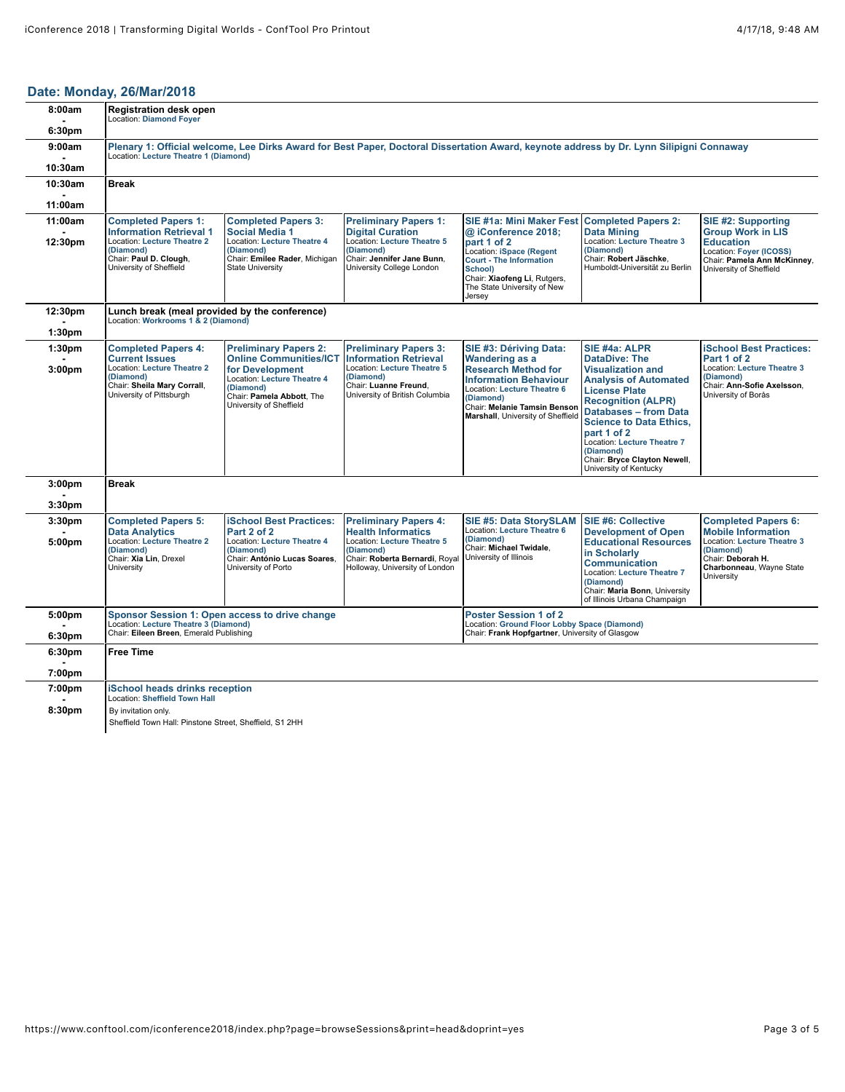### **[Date: Monday, 26/Mar/2018](https://www.conftool.com/iconference2018/index.php?page=browseSessions&print=head&doprint=yes&form_date=2018-03-26)**

| 8:00am                       | <b>Registration desk open</b><br><b>Location: Diamond Foyer</b>                                                                                                                   |                                                                                                                                                             |                                                                                                                                                                                  |                                                                                                                                                                                                      |                                                                                                                                                                                                                                                                                                      |                                                                                                                                                                           |
|------------------------------|-----------------------------------------------------------------------------------------------------------------------------------------------------------------------------------|-------------------------------------------------------------------------------------------------------------------------------------------------------------|----------------------------------------------------------------------------------------------------------------------------------------------------------------------------------|------------------------------------------------------------------------------------------------------------------------------------------------------------------------------------------------------|------------------------------------------------------------------------------------------------------------------------------------------------------------------------------------------------------------------------------------------------------------------------------------------------------|---------------------------------------------------------------------------------------------------------------------------------------------------------------------------|
| 6:30pm                       |                                                                                                                                                                                   |                                                                                                                                                             |                                                                                                                                                                                  |                                                                                                                                                                                                      |                                                                                                                                                                                                                                                                                                      |                                                                                                                                                                           |
| 9:00am                       | Plenary 1: Official welcome, Lee Dirks Award for Best Paper, Doctoral Dissertation Award, keynote address by Dr. Lynn Silipigni Connaway<br>Location: Lecture Theatre 1 (Diamond) |                                                                                                                                                             |                                                                                                                                                                                  |                                                                                                                                                                                                      |                                                                                                                                                                                                                                                                                                      |                                                                                                                                                                           |
| 10:30am                      |                                                                                                                                                                                   |                                                                                                                                                             |                                                                                                                                                                                  |                                                                                                                                                                                                      |                                                                                                                                                                                                                                                                                                      |                                                                                                                                                                           |
| 10:30am                      | <b>Break</b>                                                                                                                                                                      |                                                                                                                                                             |                                                                                                                                                                                  |                                                                                                                                                                                                      |                                                                                                                                                                                                                                                                                                      |                                                                                                                                                                           |
| 11:00am                      |                                                                                                                                                                                   |                                                                                                                                                             |                                                                                                                                                                                  |                                                                                                                                                                                                      |                                                                                                                                                                                                                                                                                                      |                                                                                                                                                                           |
| 11:00am                      | <b>Completed Papers 1:</b><br><b>Information Retrieval 1</b>                                                                                                                      | <b>Completed Papers 3:</b><br><b>Social Media 1</b>                                                                                                         | <b>Preliminary Papers 1:</b><br><b>Digital Curation</b>                                                                                                                          | <b>SIE #1a: Mini Maker Fest</b><br>@ iConference 2018;                                                                                                                                               | <b>Completed Papers 2:</b><br><b>Data Mining</b>                                                                                                                                                                                                                                                     | SIE #2: Supporting<br><b>Group Work in LIS</b>                                                                                                                            |
| 12:30pm                      | <b>Location: Lecture Theatre 2</b><br>(Diamond)<br>Chair: Paul D. Clough,<br>University of Sheffield                                                                              | Location: Lecture Theatre 4<br>(Diamond)<br>Chair: Emilee Rader, Michigan<br><b>State University</b>                                                        | <b>Location: Lecture Theatre 5</b><br>(Diamond)<br>Chair: Jennifer Jane Bunn,<br>University College London                                                                       | part 1 of 2<br>Location: iSpace (Regent<br><b>Court - The Information</b><br>School)<br>Chair: Xiaofeng Li, Rutgers,<br>The State University of New<br>Jersey                                        | Location: Lecture Theatre 3<br>(Diamond)<br>Chair: Robert Jäschke,<br>Humboldt-Universität zu Berlin                                                                                                                                                                                                 | <b>Education</b><br>Location: Foyer (ICOSS)<br>Chair: Pamela Ann McKinney,<br>University of Sheffield                                                                     |
| 12:30pm                      | Lunch break (meal provided by the conference)<br>Location: Workrooms 1 & 2 (Diamond)                                                                                              |                                                                                                                                                             |                                                                                                                                                                                  |                                                                                                                                                                                                      |                                                                                                                                                                                                                                                                                                      |                                                                                                                                                                           |
| 1:30 <sub>pm</sub>           |                                                                                                                                                                                   |                                                                                                                                                             |                                                                                                                                                                                  |                                                                                                                                                                                                      |                                                                                                                                                                                                                                                                                                      |                                                                                                                                                                           |
| 1:30 <sub>pm</sub>           | <b>Completed Papers 4:</b>                                                                                                                                                        | <b>Preliminary Papers 2:</b>                                                                                                                                | <b>Preliminary Papers 3:</b><br><b>Information Retrieval</b>                                                                                                                     | SIE #3: Dériving Data:                                                                                                                                                                               | SIE #4a: ALPR<br><b>DataDive: The</b>                                                                                                                                                                                                                                                                | <b>iSchool Best Practices:</b>                                                                                                                                            |
| 3:00 <sub>pm</sub>           | <b>Current Issues</b><br>Location: Lecture Theatre 2<br>(Diamond)<br>Chair: Sheila Mary Corrall,<br>University of Pittsburgh                                                      | <b>Online Communities/ICT</b><br>for Development<br><b>Location: Lecture Theatre 4</b><br>(Diamond)<br>Chair: Pamela Abbott, The<br>University of Sheffield | <b>Location: Lecture Theatre 5</b><br>(Diamond)<br>Chair: Luanne Freund,<br>University of British Columbia                                                                       | <b>Wandering as a</b><br><b>Research Method for</b><br><b>Information Behaviour</b><br>Location: Lecture Theatre 6<br>(Diamond)<br>Chair: Melanie Tamsin Benson<br>Marshall, University of Sheffield | <b>Visualization and</b><br><b>Analysis of Automated</b><br><b>License Plate</b><br><b>Recognition (ALPR)</b><br><b>Databases - from Data</b><br><b>Science to Data Ethics,</b><br>part 1 of 2<br>Location: Lecture Theatre 7<br>(Diamond)<br>Chair: Bryce Clayton Newell,<br>University of Kentucky | Part 1 of 2<br>Location: Lecture Theatre 3<br>(Diamond)<br>Chair: Ann-Sofie Axelsson,<br>University of Borås                                                              |
| 3:00 <sub>pm</sub>           | <b>Break</b>                                                                                                                                                                      |                                                                                                                                                             |                                                                                                                                                                                  |                                                                                                                                                                                                      |                                                                                                                                                                                                                                                                                                      |                                                                                                                                                                           |
| 3:30 <sub>pm</sub>           |                                                                                                                                                                                   |                                                                                                                                                             |                                                                                                                                                                                  |                                                                                                                                                                                                      |                                                                                                                                                                                                                                                                                                      |                                                                                                                                                                           |
| 3:30 <sub>pm</sub><br>5:00pm | <b>Completed Papers 5:</b><br><b>Data Analytics</b><br>Location: Lecture Theatre 2<br>(Diamond)<br>Chair: Xia Lin, Drexel<br>University                                           | <b>iSchool Best Practices:</b><br>Part 2 of 2<br><b>Location: Lecture Theatre 4</b><br>(Diamond)<br>Chair: António Lucas Soares,<br>University of Porto     | <b>Preliminary Papers 4:</b><br><b>Health Informatics</b><br><b>Location: Lecture Theatre 5</b><br>(Diamond)<br>Chair: Roberta Bernardi, Royal<br>Holloway, University of London | <b>SIE #5: Data StorySLAM</b><br><b>Location: Lecture Theatre 6</b><br>(Diamond)<br>Chair: Michael Twidale,<br>University of Illinois                                                                | SIE #6: Collective<br><b>Development of Open</b><br><b>Educational Resources</b><br>in Scholarly<br><b>Communication</b><br>Location: Lecture Theatre 7<br>(Diamond)<br>Chair: Maria Bonn, University<br>of Illinois Urbana Champaign                                                                | <b>Completed Papers 6:</b><br><b>Mobile Information</b><br><b>Location: Lecture Theatre 3</b><br>(Diamond)<br>Chair: Deborah H.<br>Charbonneau, Wayne State<br>University |
| 5:00pm<br>6:30pm             | Sponsor Session 1: Open access to drive change<br>Location: Lecture Theatre 3 (Diamond)<br>Chair: Eileen Breen, Emerald Publishing                                                |                                                                                                                                                             | <b>Poster Session 1 of 2</b><br>Location: Ground Floor Lobby Space (Diamond)<br>Chair: Frank Hopfgartner, University of Glasgow                                                  |                                                                                                                                                                                                      |                                                                                                                                                                                                                                                                                                      |                                                                                                                                                                           |
| 6:30pm                       | <b>Free Time</b>                                                                                                                                                                  |                                                                                                                                                             |                                                                                                                                                                                  |                                                                                                                                                                                                      |                                                                                                                                                                                                                                                                                                      |                                                                                                                                                                           |
| 7:00pm                       |                                                                                                                                                                                   |                                                                                                                                                             |                                                                                                                                                                                  |                                                                                                                                                                                                      |                                                                                                                                                                                                                                                                                                      |                                                                                                                                                                           |
| 7:00pm                       | <b>iSchool heads drinks reception</b>                                                                                                                                             |                                                                                                                                                             |                                                                                                                                                                                  |                                                                                                                                                                                                      |                                                                                                                                                                                                                                                                                                      |                                                                                                                                                                           |
| 8:30pm                       | <b>Location: Sheffield Town Hall</b><br>By invitation only.                                                                                                                       |                                                                                                                                                             |                                                                                                                                                                                  |                                                                                                                                                                                                      |                                                                                                                                                                                                                                                                                                      |                                                                                                                                                                           |
|                              | Sheffield Town Hall: Pinstone Street, Sheffield, S1 2HH                                                                                                                           |                                                                                                                                                             |                                                                                                                                                                                  |                                                                                                                                                                                                      |                                                                                                                                                                                                                                                                                                      |                                                                                                                                                                           |
|                              |                                                                                                                                                                                   |                                                                                                                                                             |                                                                                                                                                                                  |                                                                                                                                                                                                      |                                                                                                                                                                                                                                                                                                      |                                                                                                                                                                           |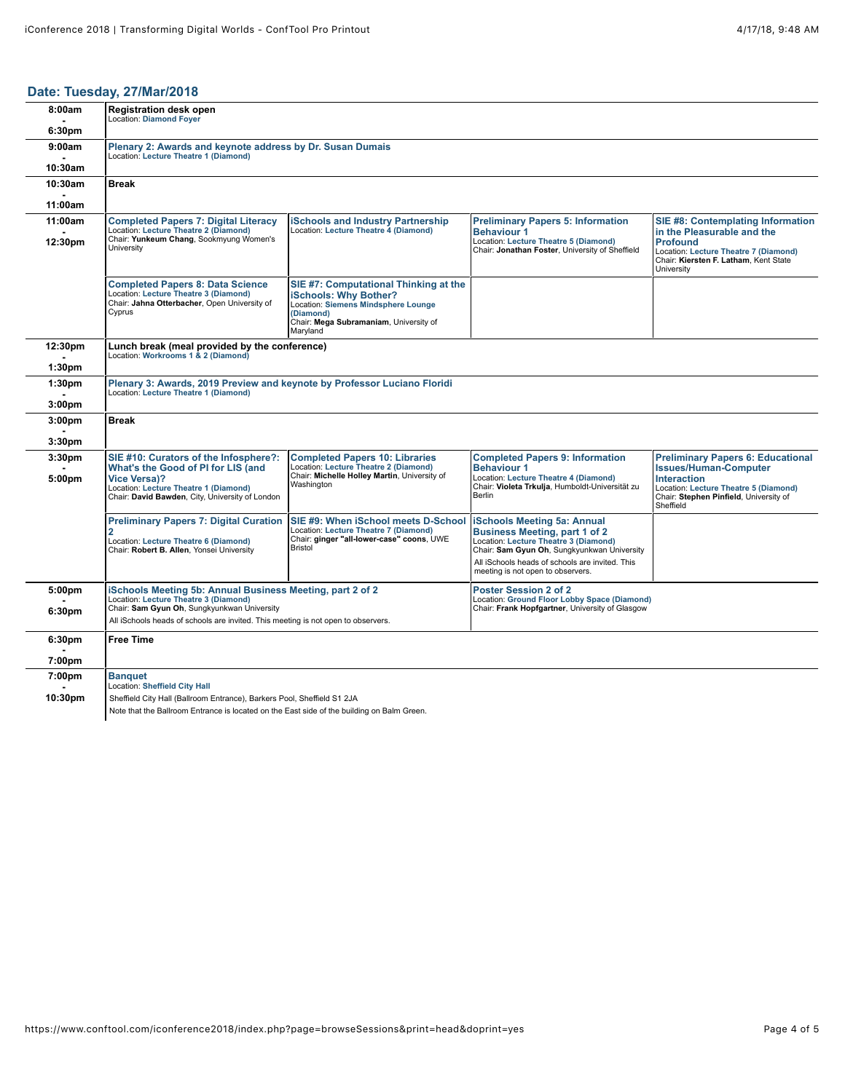## **[Date: Tuesday, 27/Mar/2018](https://www.conftool.com/iconference2018/index.php?page=browseSessions&print=head&doprint=yes&form_date=2018-03-27)**

| 8:00am             | <b>Registration desk open</b><br><b>Location: Diamond Fover</b>                                                                                                                                |                                                                                                                                                                                        |                                                                                                                                                                    |                                                                                                                                                                                                |  |
|--------------------|------------------------------------------------------------------------------------------------------------------------------------------------------------------------------------------------|----------------------------------------------------------------------------------------------------------------------------------------------------------------------------------------|--------------------------------------------------------------------------------------------------------------------------------------------------------------------|------------------------------------------------------------------------------------------------------------------------------------------------------------------------------------------------|--|
| 6:30pm             |                                                                                                                                                                                                |                                                                                                                                                                                        |                                                                                                                                                                    |                                                                                                                                                                                                |  |
| 9:00am             | Plenary 2: Awards and keynote address by Dr. Susan Dumais<br>Location: Lecture Theatre 1 (Diamond)                                                                                             |                                                                                                                                                                                        |                                                                                                                                                                    |                                                                                                                                                                                                |  |
| 10:30am            |                                                                                                                                                                                                |                                                                                                                                                                                        |                                                                                                                                                                    |                                                                                                                                                                                                |  |
| 10:30am            | <b>Break</b>                                                                                                                                                                                   |                                                                                                                                                                                        |                                                                                                                                                                    |                                                                                                                                                                                                |  |
| 11:00am            |                                                                                                                                                                                                |                                                                                                                                                                                        |                                                                                                                                                                    |                                                                                                                                                                                                |  |
| 11:00am            | <b>Completed Papers 7: Digital Literacy</b><br>Location: Lecture Theatre 2 (Diamond)                                                                                                           | iSchools and Industrv Partnership<br>Location: Lecture Theatre 4 (Diamond)                                                                                                             | <b>Preliminary Papers 5: Information</b><br><b>Behaviour 1</b>                                                                                                     | SIE #8: Contemplating Information<br>in the Pleasurable and the                                                                                                                                |  |
| 12:30pm            | Chair: Yunkeum Chang, Sookmyung Women's<br>University                                                                                                                                          |                                                                                                                                                                                        | Location: Lecture Theatre 5 (Diamond)<br>Chair: Jonathan Foster, University of Sheffield                                                                           | <b>Profound</b><br>Location: Lecture Theatre 7 (Diamond)<br>Chair: Kiersten F. Latham, Kent State<br>University                                                                                |  |
|                    | <b>Completed Papers 8: Data Science</b><br>Location: Lecture Theatre 3 (Diamond)<br>Chair: Jahna Otterbacher, Open University of<br>Cyprus                                                     | SIE #7: Computational Thinking at the<br><b>iSchools: Why Bother?</b><br><b>Location: Siemens Mindsphere Lounge</b><br>(Diamond)<br>Chair: Mega Subramaniam, University of<br>Maryland |                                                                                                                                                                    |                                                                                                                                                                                                |  |
| 12:30pm            | Lunch break (meal provided by the conference)<br>Location: Workrooms 1 & 2 (Diamond)                                                                                                           |                                                                                                                                                                                        |                                                                                                                                                                    |                                                                                                                                                                                                |  |
| 1:30 <sub>pm</sub> |                                                                                                                                                                                                |                                                                                                                                                                                        |                                                                                                                                                                    |                                                                                                                                                                                                |  |
| 1:30 <sub>pm</sub> | Plenary 3: Awards, 2019 Preview and keynote by Professor Luciano Floridi<br>Location: Lecture Theatre 1 (Diamond)                                                                              |                                                                                                                                                                                        |                                                                                                                                                                    |                                                                                                                                                                                                |  |
| 3:00 <sub>pm</sub> |                                                                                                                                                                                                |                                                                                                                                                                                        |                                                                                                                                                                    |                                                                                                                                                                                                |  |
| 3:00 <sub>pm</sub> | <b>Break</b>                                                                                                                                                                                   |                                                                                                                                                                                        |                                                                                                                                                                    |                                                                                                                                                                                                |  |
|                    |                                                                                                                                                                                                |                                                                                                                                                                                        |                                                                                                                                                                    |                                                                                                                                                                                                |  |
| 3:30pm             |                                                                                                                                                                                                |                                                                                                                                                                                        |                                                                                                                                                                    |                                                                                                                                                                                                |  |
| 3:30pm<br>5:00pm   | SIE #10: Curators of the Infosphere?:<br>What's the Good of PI for LIS (and<br><b>Vice Versal?</b><br>Location: Lecture Theatre 1 (Diamond)<br>Chair: David Bawden, City, University of London | <b>Completed Papers 10: Libraries</b><br>Location: Lecture Theatre 2 (Diamond)<br>Chair: Michelle Holley Martin, University of<br>Washington                                           | <b>Completed Papers 9: Information</b><br><b>Behaviour 1</b><br>Location: Lecture Theatre 4 (Diamond)<br>Chair: Violeta Trkulja, Humboldt-Universität zu<br>Berlin | <b>Preliminary Papers 6: Educational</b><br><b>Issues/Human-Computer</b><br><b>Interaction</b><br>Location: Lecture Theatre 5 (Diamond)<br>Chair: Stephen Pinfield, University of<br>Sheffield |  |
|                    | <b>Preliminary Papers 7: Digital Curation</b><br>2<br>Location: Lecture Theatre 6 (Diamond)<br>Chair: Robert B. Allen, Yonsei University                                                       | SIE #9: When iSchool meets D-School<br>Location: Lecture Theatre 7 (Diamond)<br>Chair: ginger "all-lower-case" coons, UWE<br><b>Bristol</b>                                            | <b>Schools Meeting 5a: Annual</b><br><b>Business Meeting, part 1 of 2</b><br>Location: Lecture Theatre 3 (Diamond)<br>Chair: Sam Gyun Oh, Sungkyunkwan University  |                                                                                                                                                                                                |  |
|                    |                                                                                                                                                                                                |                                                                                                                                                                                        | All iSchools heads of schools are invited. This<br>meeting is not open to observers.                                                                               |                                                                                                                                                                                                |  |
| 5:00pm             | iSchools Meeting 5b: Annual Business Meeting, part 2 of 2                                                                                                                                      |                                                                                                                                                                                        | <b>Poster Session 2 of 2</b>                                                                                                                                       |                                                                                                                                                                                                |  |
| 6:30pm             | Location: Lecture Theatre 3 (Diamond)<br>Chair: Sam Gyun Oh, Sungkyunkwan University<br>All iSchools heads of schools are invited. This meeting is not open to observers.                      |                                                                                                                                                                                        | Location: Ground Floor Lobby Space (Diamond)<br>Chair: Frank Hopfgartner, University of Glasgow                                                                    |                                                                                                                                                                                                |  |
| 6:30pm             | <b>Free Time</b>                                                                                                                                                                               |                                                                                                                                                                                        |                                                                                                                                                                    |                                                                                                                                                                                                |  |
| 7:00pm             |                                                                                                                                                                                                |                                                                                                                                                                                        |                                                                                                                                                                    |                                                                                                                                                                                                |  |
| 7:00pm             | <b>Banquet</b>                                                                                                                                                                                 |                                                                                                                                                                                        |                                                                                                                                                                    |                                                                                                                                                                                                |  |
| 10:30pm            | Location: Sheffield City Hall<br>Sheffield City Hall (Ballroom Entrance), Barkers Pool, Sheffield S1 2JA                                                                                       |                                                                                                                                                                                        |                                                                                                                                                                    |                                                                                                                                                                                                |  |